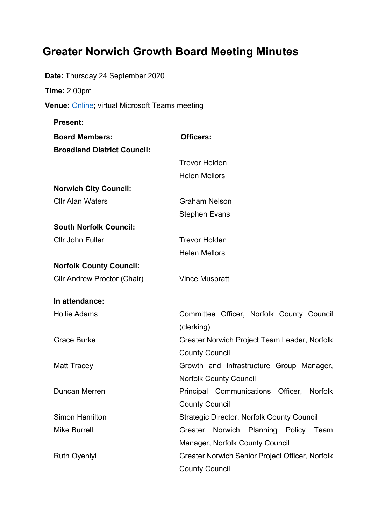# Greater Norwich Growth Board Meeting Minutes

Date: Thursday 24 September 2020 Time: 2.00pm Venue: Online; virtual Microsoft Teams meeting Present: Board Members: Officers: Broadland District Council: Trevor Holden Helen Mellors Norwich City Council: Cllr Alan Waters Graham Nelson Stephen Evans South Norfolk Council: Cllr John Fuller Trevor Holden Helen Mellors Norfolk County Council: Cllr Andrew Proctor (Chair) Vince Muspratt In attendance: Hollie Adams Committee Officer, Norfolk County Council (clerking) Grace Burke Greater Norwich Project Team Leader, Norfolk County Council Matt Tracey Growth and Infrastructure Group Manager, Norfolk County Council Duncan Merren Principal Communications Officer, Norfolk County Council Simon Hamilton **Strategic Director, Norfolk County Council** Mike Burrell **Greater** Norwich Planning Policy Team Manager, Norfolk County Council Ruth Oyeniyi Greater Norwich Senior Project Officer, Norfolk County Council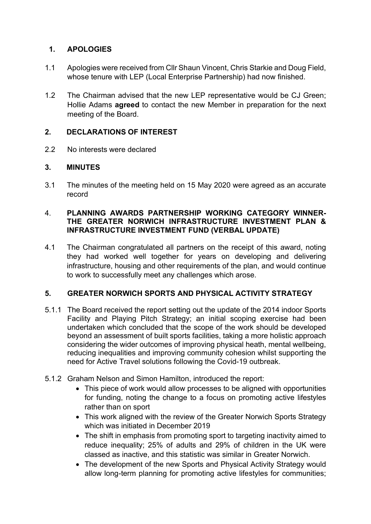# 1. APOLOGIES

- 1.1 Apologies were received from Cllr Shaun Vincent, Chris Starkie and Doug Field, whose tenure with LEP (Local Enterprise Partnership) had now finished.
- 1.2 The Chairman advised that the new LEP representative would be CJ Green; Hollie Adams agreed to contact the new Member in preparation for the next meeting of the Board.

## 2. DECLARATIONS OF INTEREST

2.2 No interests were declared

# 3. MINUTES

3.1 The minutes of the meeting held on 15 May 2020 were agreed as an accurate record

#### 4. PLANNING AWARDS PARTNERSHIP WORKING CATEGORY WINNER-THE GREATER NORWICH INFRASTRUCTURE INVESTMENT PLAN & INFRASTRUCTURE INVESTMENT FUND (VERBAL UPDATE)

4.1 The Chairman congratulated all partners on the receipt of this award, noting they had worked well together for years on developing and delivering infrastructure, housing and other requirements of the plan, and would continue to work to successfully meet any challenges which arose.

### 5. GREATER NORWICH SPORTS AND PHYSICAL ACTIVITY STRATEGY

- 5.1.1 The Board received the report setting out the update of the 2014 indoor Sports Facility and Playing Pitch Strategy; an initial scoping exercise had been undertaken which concluded that the scope of the work should be developed beyond an assessment of built sports facilities, taking a more holistic approach considering the wider outcomes of improving physical heath, mental wellbeing, reducing inequalities and improving community cohesion whilst supporting the need for Active Travel solutions following the Covid-19 outbreak.
- 5.1.2 Graham Nelson and Simon Hamilton, introduced the report:
	- This piece of work would allow processes to be aligned with opportunities for funding, noting the change to a focus on promoting active lifestyles rather than on sport
	- This work aligned with the review of the Greater Norwich Sports Strategy which was initiated in December 2019
	- The shift in emphasis from promoting sport to targeting inactivity aimed to reduce inequality; 25% of adults and 29% of children in the UK were classed as inactive, and this statistic was similar in Greater Norwich.
	- The development of the new Sports and Physical Activity Strategy would allow long-term planning for promoting active lifestyles for communities;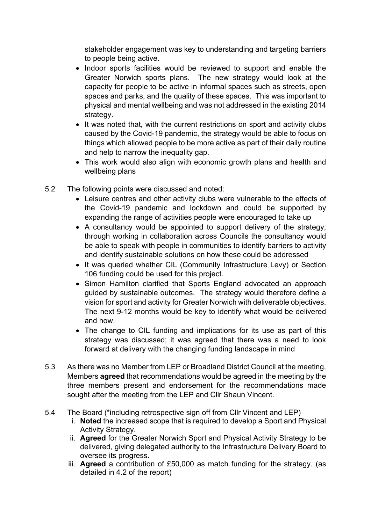stakeholder engagement was key to understanding and targeting barriers to people being active.

- Indoor sports facilities would be reviewed to support and enable the Greater Norwich sports plans. The new strategy would look at the capacity for people to be active in informal spaces such as streets, open spaces and parks, and the quality of these spaces. This was important to physical and mental wellbeing and was not addressed in the existing 2014 strategy.
- It was noted that, with the current restrictions on sport and activity clubs caused by the Covid-19 pandemic, the strategy would be able to focus on things which allowed people to be more active as part of their daily routine and help to narrow the inequality gap.
- This work would also align with economic growth plans and health and wellbeing plans
- 5.2 The following points were discussed and noted:
	- Leisure centres and other activity clubs were vulnerable to the effects of the Covid-19 pandemic and lockdown and could be supported by expanding the range of activities people were encouraged to take up
	- A consultancy would be appointed to support delivery of the strategy; through working in collaboration across Councils the consultancy would be able to speak with people in communities to identify barriers to activity and identify sustainable solutions on how these could be addressed
	- It was queried whether CIL (Community Infrastructure Levy) or Section 106 funding could be used for this project.
	- Simon Hamilton clarified that Sports England advocated an approach guided by sustainable outcomes. The strategy would therefore define a vision for sport and activity for Greater Norwich with deliverable objectives. The next 9-12 months would be key to identify what would be delivered and how.
	- The change to CIL funding and implications for its use as part of this strategy was discussed; it was agreed that there was a need to look forward at delivery with the changing funding landscape in mind
- 5.3 As there was no Member from LEP or Broadland District Council at the meeting, Members agreed that recommendations would be agreed in the meeting by the three members present and endorsement for the recommendations made sought after the meeting from the LEP and Cllr Shaun Vincent.
- 5.4 The Board (\*including retrospective sign off from Cllr Vincent and LEP)
	- i. Noted the increased scope that is required to develop a Sport and Physical Activity Strategy.
	- ii. Agreed for the Greater Norwich Sport and Physical Activity Strategy to be delivered, giving delegated authority to the Infrastructure Delivery Board to oversee its progress.
	- iii. **Agreed** a contribution of £50,000 as match funding for the strategy. (as detailed in 4.2 of the report)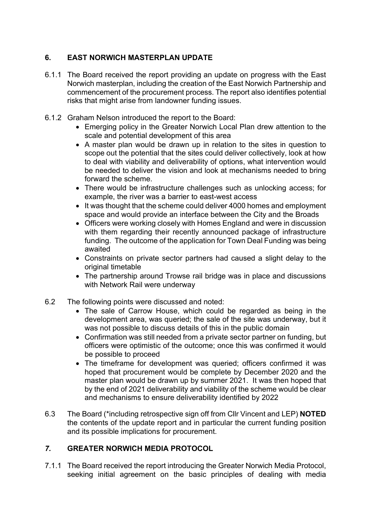## 6. EAST NORWICH MASTERPLAN UPDATE

- 6.1.1 The Board received the report providing an update on progress with the East Norwich masterplan, including the creation of the East Norwich Partnership and commencement of the procurement process. The report also identifies potential risks that might arise from landowner funding issues.
- 6.1.2 Graham Nelson introduced the report to the Board:
	- Emerging policy in the Greater Norwich Local Plan drew attention to the scale and potential development of this area
	- A master plan would be drawn up in relation to the sites in question to scope out the potential that the sites could deliver collectively, look at how to deal with viability and deliverability of options, what intervention would be needed to deliver the vision and look at mechanisms needed to bring forward the scheme.
	- There would be infrastructure challenges such as unlocking access; for example, the river was a barrier to east-west access
	- It was thought that the scheme could deliver 4000 homes and employment space and would provide an interface between the City and the Broads
	- Officers were working closely with Homes England and were in discussion with them regarding their recently announced package of infrastructure funding. The outcome of the application for Town Deal Funding was being awaited
	- Constraints on private sector partners had caused a slight delay to the original timetable
	- The partnership around Trowse rail bridge was in place and discussions with Network Rail were underway
- 6.2 The following points were discussed and noted:
	- The sale of Carrow House, which could be regarded as being in the development area, was queried; the sale of the site was underway, but it was not possible to discuss details of this in the public domain
	- Confirmation was still needed from a private sector partner on funding, but officers were optimistic of the outcome; once this was confirmed it would be possible to proceed
	- The timeframe for development was queried; officers confirmed it was hoped that procurement would be complete by December 2020 and the master plan would be drawn up by summer 2021. It was then hoped that by the end of 2021 deliverability and viability of the scheme would be clear and mechanisms to ensure deliverability identified by 2022
- 6.3 The Board (\*including retrospective sign off from Cllr Vincent and LEP) NOTED the contents of the update report and in particular the current funding position and its possible implications for procurement.

### 7. GREATER NORWICH MEDIA PROTOCOL

7.1.1 The Board received the report introducing the Greater Norwich Media Protocol, seeking initial agreement on the basic principles of dealing with media